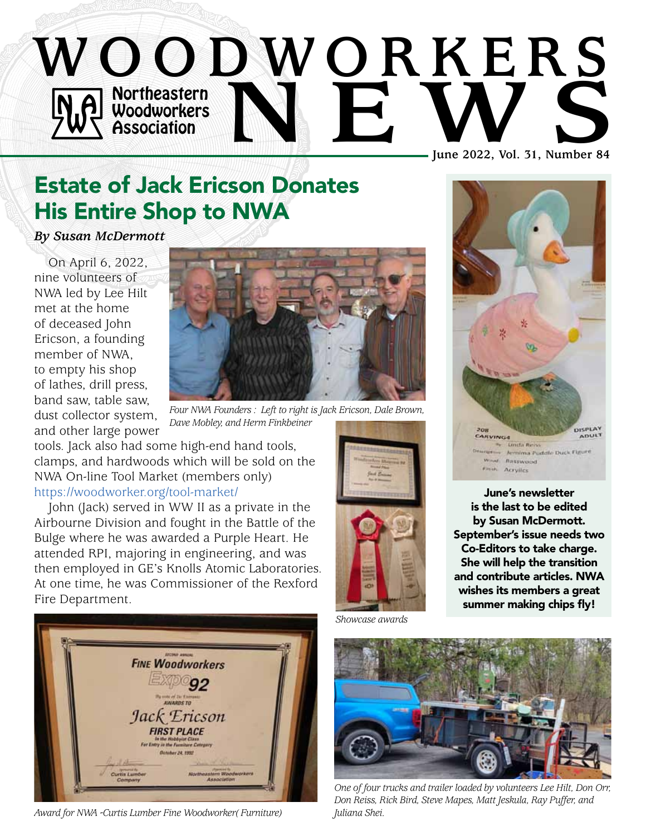

# Estate of Jack Ericson Donates His Entire Shop to NWA

*By Susan McDermott*

On April 6, 2022, nine volunteers of NWA led by Lee Hilt met at the home of deceased John Ericson, a founding member of NWA, to empty his shop of lathes, drill press, band saw, table saw, dust collector system, and other large power



*Four NWA Founders : Left to right is Jack Ericson, Dale Brown, Dave Mobley, and Herm Finkbeiner*

tools. Jack also had some high-end hand tools, clamps, and hardwoods which will be sold on the NWA On-line Tool Market (members only) https://[woodworker.org/tool-market/](http://woodworker.org/tool-market/)

John (Jack) served in WW II as a private in the Airbourne Division and fought in the Battle of the Bulge where he was awarded a Purple Heart. He attended RPI, majoring in engineering, and was then employed in GE's Knolls Atomic Laboratories. At one time, he was Commissioner of the Rexford Fire Department.



*Award for NWA -Curtis Lumber Fine Woodworker( Furniture)* 





June's newsletter is the last to be edited by Susan McDermott. September's issue needs two Co-Editors to take charge. She will help the transition and contribute articles. NWA wishes its members a great summer making chips fly!

*Showcase awards*



*One of four trucks and trailer loaded by volunteers Lee Hilt, Don Orr, Don Reiss, Rick Bird, Steve Mapes, Matt Jeskula, Ray Puffer, and Juliana Shei.*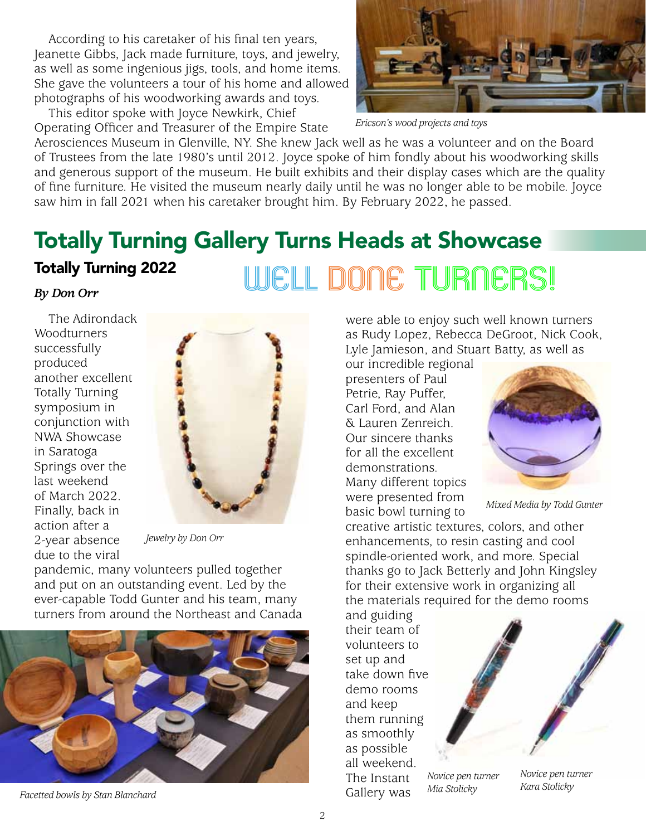According to his caretaker of his final ten years, Jeanette Gibbs, Jack made furniture, toys, and jewelry, as well as some ingenious jigs, tools, and home items. She gave the volunteers a tour of his home and allowed photographs of his woodworking awards and toys.

This editor spoke with Joyce Newkirk, Chief Operating Officer and Treasurer of the Empire State



*Ericson's wood projects and toys*

Aerosciences Museum in Glenville, NY. She knew Jack well as he was a volunteer and on the Board of Trustees from the late 1980's until 2012. Joyce spoke of him fondly about his woodworking skills and generous support of the museum. He built exhibits and their display cases which are the quality of fine furniture. He visited the museum nearly daily until he was no longer able to be mobile. Joyce saw him in fall 2021 when his caretaker brought him. By February 2022, he passed.

## Totally Turning Gallery Turns Heads at Showcase Totally Turning 2022 *By Don Orr* Well Done TuRners!

The Adirondack **Woodturners** successfully produced another excellent Totally Turning symposium in conjunction with NWA Showcase in Saratoga Springs over the last weekend of March 2022. Finally, back in action after a 2-year absence due to the viral



*Jewelry by Don Orr*

pandemic, many volunteers pulled together and put on an outstanding event. Led by the ever-capable Todd Gunter and his team, many turners from around the Northeast and Canada



Facetted bowls by Stan Blanchard **Gallery** was

were able to enjoy such well known turners as Rudy Lopez, Rebecca DeGroot, Nick Cook, Lyle Jamieson, and Stuart Batty, as well as

our incredible regional presenters of Paul Petrie, Ray Puffer, Carl Ford, and Alan & Lauren Zenreich. Our sincere thanks for all the excellent demonstrations. Many different topics were presented from basic bowl turning to



*Mixed Media by Todd Gunter*

creative artistic textures, colors, and other enhancements, to resin casting and cool spindle-oriented work, and more. Special thanks go to Jack Betterly and John Kingsley for their extensive work in organizing all the materials required for the demo rooms

and guiding their team of volunteers to set up and take down five demo rooms and keep them running as smoothly as possible all weekend. The Instant



*Novice pen turner Mia Stolicky*

*Novice pen turner Kara Stolicky*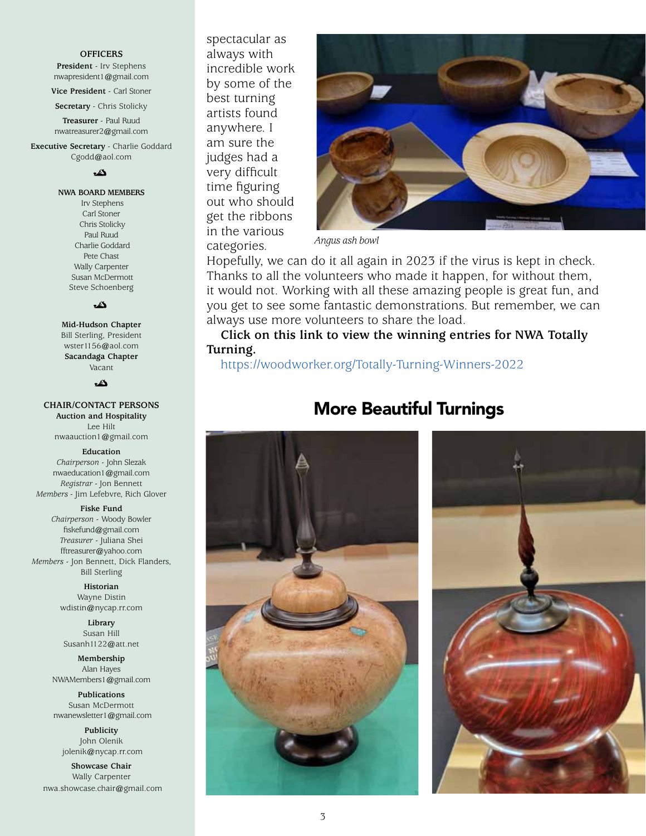#### **OFFICERS**

**President** - Irv Stephens nwapresident1@gmail.com

**Vice President** - Carl Stoner **Secretary** - Chris Stolicky

**Treasurer** - Paul Ruud nwatreasurer2@gmail.com

**Executive Secretary** - Charlie Goddard Cgodd@aol.com

دی

**NWA BOARD MEMBERS**

 Irv Stephens Carl Stoner Chris Stolicky Paul Ruud Charlie Goddard Pete Chast Wally Carpenter Susan McDermott Steve Schoenberg

دگ

**Mid-Hudson Chapter**  Bill Sterling, President wster1156@aol.com **Sacandaga Chapter**

Vacant

#### دی۔

#### **CHAIR/CONTACT PERSONS**

**Auction and Hospitality** Lee Hilt nwaauction1@gmail.com

#### **Education**

*Chairperson* - John Slezak nwaeducation1@gmail.com *Registrar* - Jon Bennett *Members* - Jim Lefebvre, Rich Glover

#### **Fiske Fund**

*Chairperson* - Woody Bowler fiskefund@gmail.com *Treasurer* - Juliana Shei fftreasurer@yahoo.com *Members* - Jon Bennett, Dick Flanders, Bill Sterling

> **Historian** Wayne Distin wdistin@nycap.rr.com

**Library** Susan Hill Susanh1122@att.net

**Membership** Alan Hayes NWAMembers1@gmail.com

**Publications** Susan McDermott nwanewsletter1@gmail.com

**Publicity** John Olenik jolenik@nycap.rr.com

**Showcase Chair** Wally Carpenter nwa.showcase.chair@gmail.com spectacular as always with incredible work by some of the best turning artists found anywhere. I am sure the judges had a very difficult time figuring out who should get the ribbons in the various categories.



*Angus ash bowl*

Hopefully, we can do it all again in 2023 if the virus is kept in check. Thanks to all the volunteers who made it happen, for without them, it would not. Working with all these amazing people is great fun, and you get to see some fantastic demonstrations. But remember, we can always use more volunteers to share the load.

**Click on this link to view the winning entries for NWA Totally Turning.**

https://[woodworker.org/Totally-Turning-Winners-2022](http://woodworker.org/Totally-Turning-Winners-2022)

## More Beautiful Turnings



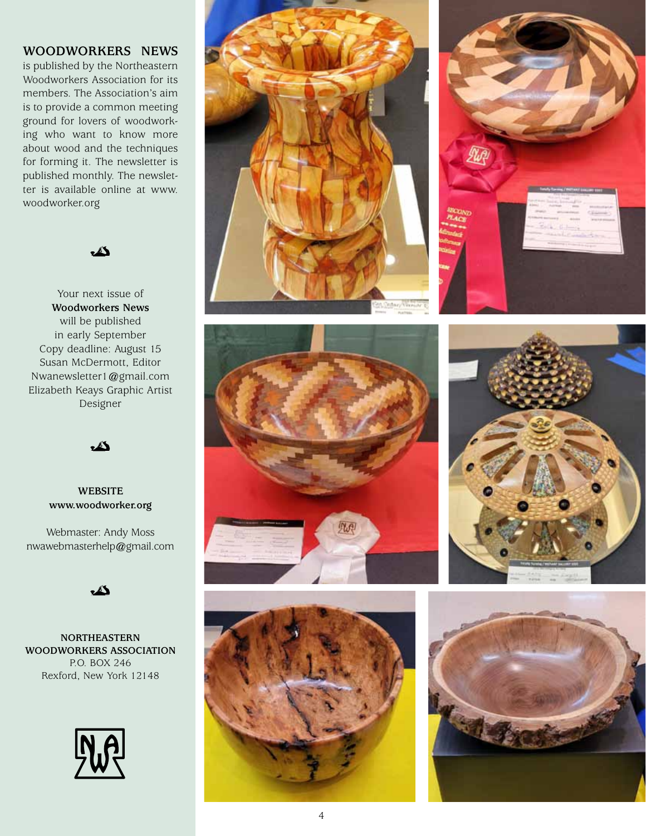#### **WOODWORKERS NEWS**

is published by the Northeastern Woodworkers Association for its members. The Association's aim is to provide a common meeting ground for lovers of woodworking who want to know more about wood and the techniques for forming it. The newsletter is published monthly. The newsletter is available online at www. woodworker.org

 $\mathbb{Z}$ 

Your next issue of **Woodworkers News** will be published in early September Copy deadline: August 15 Susan McDermott, Editor Nwanewsletter1@gmail.com Elizabeth Keays Graphic Artist Designer

 $\mathbb{Z}$ 

#### **WEBSITE www.woodworker.org**

Webmaster: Andy Moss nwawebmasterhelp@gmail.com



**NORTHEASTERN WOODWORKERS ASSOCIATION** P.O. BOX 246 Rexford, New York 12148













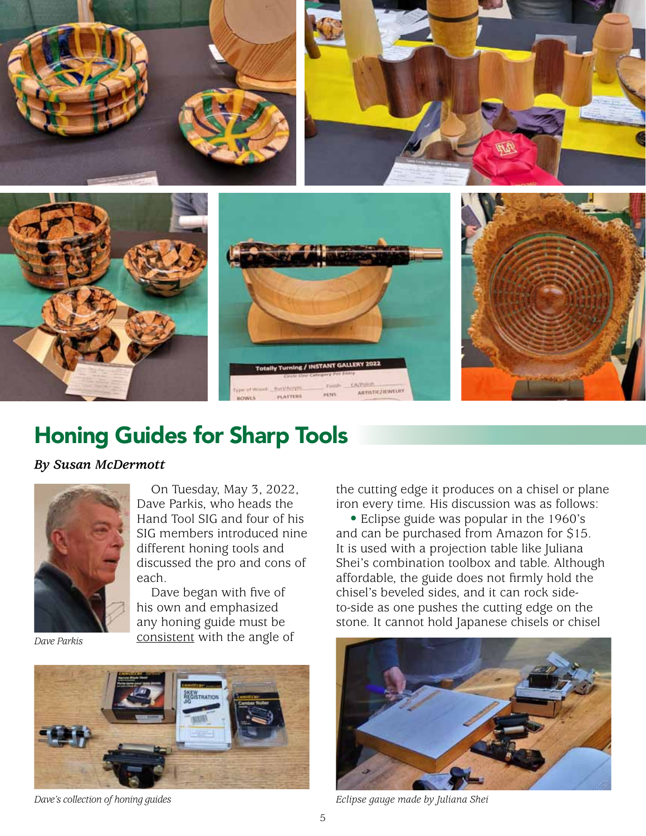

# Honing Guides for Sharp Tools

## *By Susan McDermott*



On Tuesday, May 3, 2022, Dave Parkis, who heads the Hand Tool SIG and four of his SIG members introduced nine different honing tools and discussed the pro and cons of each.

Dave began with five of his own and emphasized any honing guide must be consistent with the angle of

*Dave Parkis*



*Dave's collection of honing guides*

the cutting edge it produces on a chisel or plane iron every time. His discussion was as follows:

• Eclipse guide was popular in the 1960's and can be purchased from Amazon for \$15. It is used with a projection table like Juliana Shei's combination toolbox and table. Although affordable, the guide does not firmly hold the chisel's beveled sides, and it can rock sideto-side as one pushes the cutting edge on the stone. It cannot hold Japanese chisels or chisel



*Eclipse gauge made by Juliana Shei*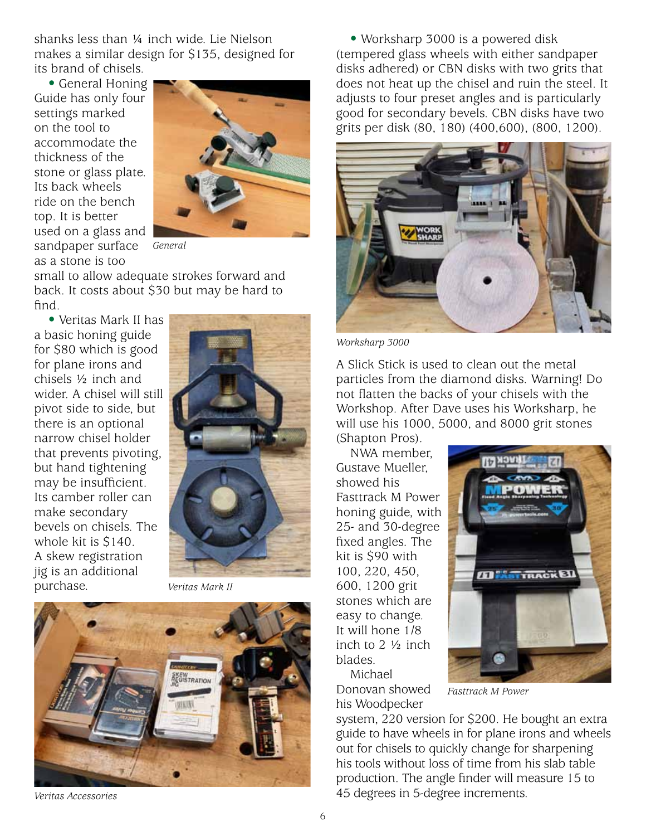shanks less than ¼ inch wide. Lie Nielson makes a similar design for \$135, designed for its brand of chisels.

• General Honing Guide has only four settings marked on the tool to accommodate the thickness of the stone or glass plate. Its back wheels ride on the bench top. It is better used on a glass and sandpaper surface as a stone is too



*General*

small to allow adequate strokes forward and back. It costs about \$30 but may be hard to find.

• Veritas Mark II has a basic honing guide for \$80 which is good for plane irons and chisels ½ inch and wider. A chisel will still pivot side to side, but there is an optional narrow chisel holder that prevents pivoting, but hand tightening may be insufficient. Its camber roller can make secondary bevels on chisels. The whole kit is \$140. A skew registration jig is an additional purchase.



*Veritas Mark II*



*Veritas Accessories*

• Worksharp 3000 is a powered disk (tempered glass wheels with either sandpaper disks adhered) or CBN disks with two grits that does not heat up the chisel and ruin the steel. It adjusts to four preset angles and is particularly good for secondary bevels. CBN disks have two grits per disk (80, 180) (400,600), (800, 1200).



*Worksharp 3000*

A Slick Stick is used to clean out the metal particles from the diamond disks. Warning! Do not flatten the backs of your chisels with the Workshop. After Dave uses his Worksharp, he will use his 1000, 5000, and 8000 grit stones

(Shapton Pros).

NWA member, Gustave Mueller, showed his Fasttrack M Power honing guide, with 25- and 30-degree fixed angles. The kit is \$90 with 100, 220, 450, 600, 1200 grit stones which are easy to change. It will hone 1/8 inch to 2 ½ inch blades. Michael



Donovan showed his Woodpecker

*Fasttrack M Power*

system, 220 version for \$200. He bought an extra guide to have wheels in for plane irons and wheels out for chisels to quickly change for sharpening his tools without loss of time from his slab table production. The angle finder will measure 15 to 45 degrees in 5-degree increments.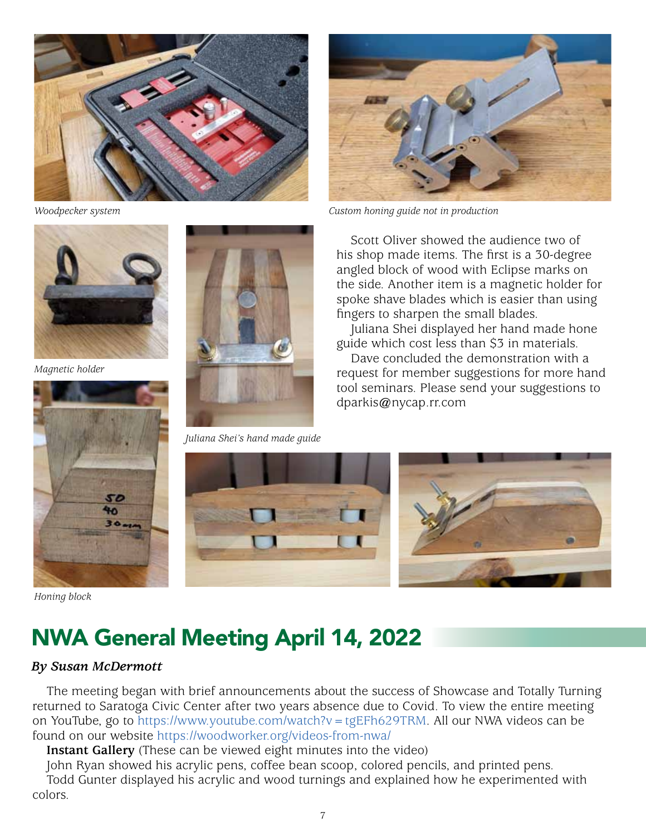



*Woodpecker system Custom honing guide not in production*



50 ቁዕ

*Magnetic holder*



*Juliana Shei's hand made guide*

Scott Oliver showed the audience two of his shop made items. The first is a 30-degree angled block of wood with Eclipse marks on the side. Another item is a magnetic holder for spoke shave blades which is easier than using fingers to sharpen the small blades.

Juliana Shei displayed her hand made hone guide which cost less than \$3 in materials.

Dave concluded the demonstration with a request for member suggestions for more hand tool seminars. Please send your suggestions to dparkis@nycap.rr.com



*Honing block*

# NWA General Meeting April 14, 2022

#### *By Susan McDermott*

The meeting began with brief announcements about the success of Showcase and Totally Turning returned to Saratoga Civic Center after two years absence due to Covid. To view the entire meeting on YouTube, go to https://[www.youtube.com/watch?v=tgEFh629TRM](http://www.youtube.com/watch?v=tgEFh629TRM). All our NWA videos can be found on our website https://[woodworker.org/videos-from-nwa/](http://woodworker.org/videos-from-nwa/)

**Instant Gallery** (These can be viewed eight minutes into the video)

John Ryan showed his acrylic pens, coffee bean scoop, colored pencils, and printed pens. Todd Gunter displayed his acrylic and wood turnings and explained how he experimented with colors.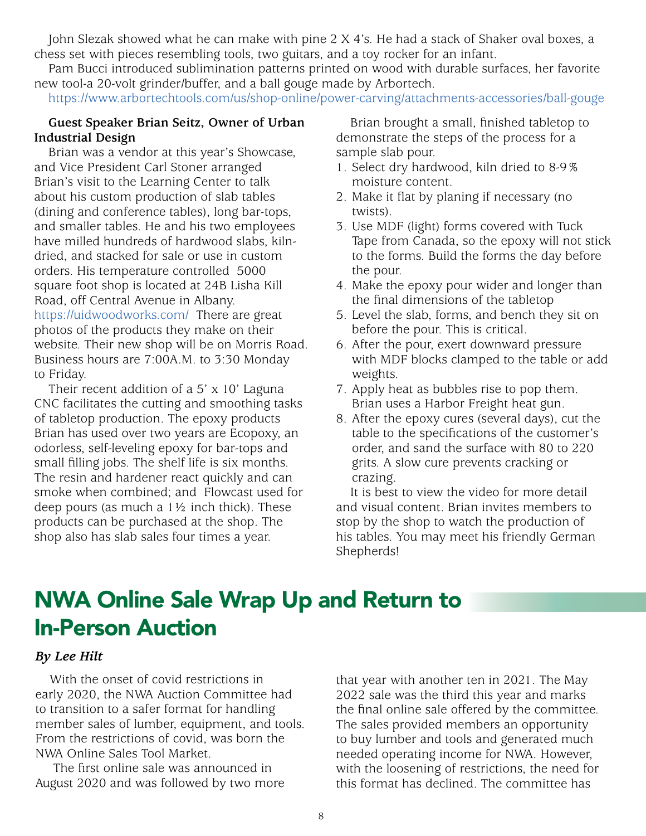John Slezak showed what he can make with pine 2 X 4's. He had a stack of Shaker oval boxes, a chess set with pieces resembling tools, two guitars, and a toy rocker for an infant.

Pam Bucci introduced sublimination patterns printed on wood with durable surfaces, her favorite new tool-a 20-volt grinder/buffer, and a ball gouge made by Arbortech.

https:/[/www.arbortechtools.com/us/shop-online/power-carving/attachments-accessories/ball-gouge](http://www.arbortechtools.com/us/shop-online/power-carving/attachments-accessories/ball-gouge)

#### **Guest Speaker Brian Seitz, Owner of Urban Industrial Design**

Brian was a vendor at this year's Showcase, and Vice President Carl Stoner arranged Brian's visit to the Learning Center to talk about his custom production of slab tables (dining and conference tables), long bar-tops, and smaller tables. He and his two employees have milled hundreds of hardwood slabs, kilndried, and stacked for sale or use in custom orders. His temperature controlled 5000 square foot shop is located at 24B Lisha Kill Road, off Central Avenue in Albany. https://[uidwoodworks.com/](http://uidwoodworks.com/) There are great photos of the products they make on their website. Their new shop will be on Morris Road. Business hours are 7:00A.M. to 3:30 Monday to Friday.

Their recent addition of a 5' x 10' Laguna CNC facilitates the cutting and smoothing tasks of tabletop production. The epoxy products Brian has used over two years are Ecopoxy, an odorless, self-leveling epoxy for bar-tops and small filling jobs. The shelf life is six months. The resin and hardener react quickly and can smoke when combined; and Flowcast used for deep pours (as much a  $1\frac{1}{2}$  inch thick). These products can be purchased at the shop. The shop also has slab sales four times a year.

Brian brought a small, finished tabletop to demonstrate the steps of the process for a sample slab pour.

- 1. Select dry hardwood, kiln dried to 8-9% moisture content.
- 2. Make it flat by planing if necessary (no twists).
- 3. Use MDF (light) forms covered with Tuck Tape from Canada, so the epoxy will not stick to the forms. Build the forms the day before the pour.
- 4. Make the epoxy pour wider and longer than the final dimensions of the tabletop
- 5. Level the slab, forms, and bench they sit on before the pour. This is critical.
- 6. After the pour, exert downward pressure with MDF blocks clamped to the table or add weights.
- 7. Apply heat as bubbles rise to pop them. Brian uses a Harbor Freight heat gun.
- 8. After the epoxy cures (several days), cut the table to the specifications of the customer's order, and sand the surface with 80 to 220 grits. A slow cure prevents cracking or crazing.

It is best to view the video for more detail and visual content. Brian invites members to stop by the shop to watch the production of his tables. You may meet his friendly German Shepherds!

# NWA Online Sale Wrap Up and Return to In-Person Auction

#### *By Lee Hilt*

With the onset of covid restrictions in early 2020, the NWA Auction Committee had to transition to a safer format for handling member sales of lumber, equipment, and tools. From the restrictions of covid, was born the NWA Online Sales Tool Market.

 The first online sale was announced in August 2020 and was followed by two more that year with another ten in 2021. The May 2022 sale was the third this year and marks the final online sale offered by the committee. The sales provided members an opportunity to buy lumber and tools and generated much needed operating income for NWA. However, with the loosening of restrictions, the need for this format has declined. The committee has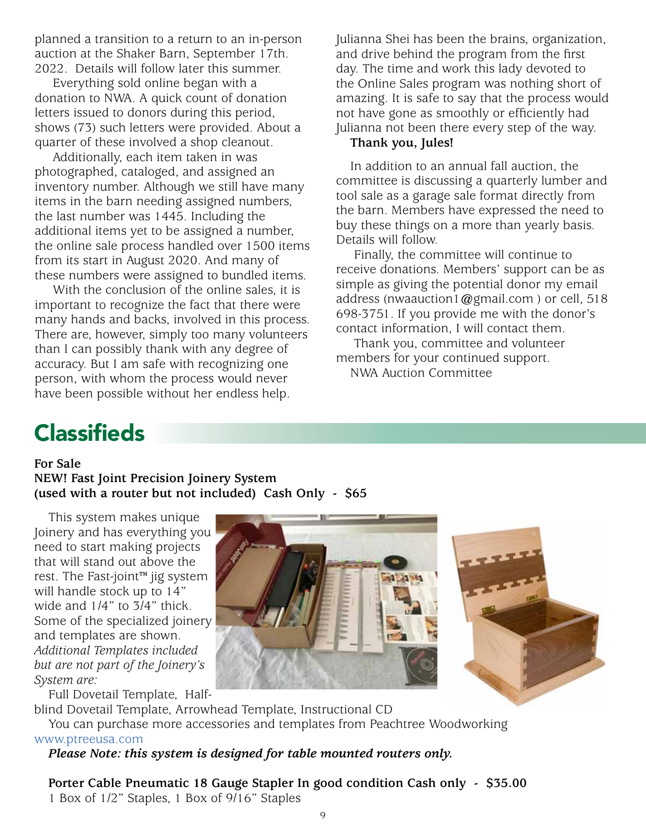planned a transition to a return to an in-person auction at the Shaker Barn, September 17th. 2022. Details will follow later this summer.

 Everything sold online began with a donation to NWA. A quick count of donation letters issued to donors during this period, shows (73) such letters were provided. About a quarter of these involved a shop cleanout.

 Additionally, each item taken in was photographed, cataloged, and assigned an inventory number. Although we still have many items in the barn needing assigned numbers, the last number was 1445. Including the additional items yet to be assigned a number, the online sale process handled over 1500 items from its start in August 2020. And many of these numbers were assigned to bundled items.

 With the conclusion of the online sales, it is important to recognize the fact that there were many hands and backs, involved in this process. There are, however, simply too many volunteers than I can possibly thank with any degree of accuracy. But I am safe with recognizing one person, with whom the process would never have been possible without her endless help.

Julianna Shei has been the brains, organization, and drive behind the program from the first day. The time and work this lady devoted to the Online Sales program was nothing short of amazing. It is safe to say that the process would not have gone as smoothly or efficiently had Julianna not been there every step of the way.

## **Thank you, Jules!**

In addition to an annual fall auction, the committee is discussing a quarterly lumber and tool sale as a garage sale format directly from the barn. Members have expressed the need to buy these things on a more than yearly basis. Details will follow.

 Finally, the committee will continue to receive donations. Members' support can be as simple as giving the potential donor my email address (nwaauction1@gmail.com ) or cell, 518 698-3751. If you provide me with the donor's contact information, I will contact them.

 Thank you, committee and volunteer members for your continued support.

NWA Auction Committee

# **Classifieds**

#### **For Sale**

**NEW! Fast Joint Precision Joinery System (used with a router but not included) Cash Only - \$65**

This system makes unique Joinery and has everything you need to start making projects that will stand out above the rest. The Fast-joint™ jig system will handle stock up to 14" wide and 1/4" to 3/4" thick. Some of the specialized joinery and templates are shown. *Additional Templates included but are not part of the Joinery's System are:*

Full Dovetail Template, Half-

blind Dovetail Template, Arrowhead Template, Instructional CD

You can purchase more accessories and templates from Peachtree Woodworking

#### [www.ptreeusa.com](http://www.ptreeusa.com)

*Please Note: this system is designed for table mounted routers only.*

**Porter Cable Pneumatic 18 Gauge Stapler In good condition Cash only - \$35.00** 1 Box of 1/2" Staples, 1 Box of 9/16" Staples